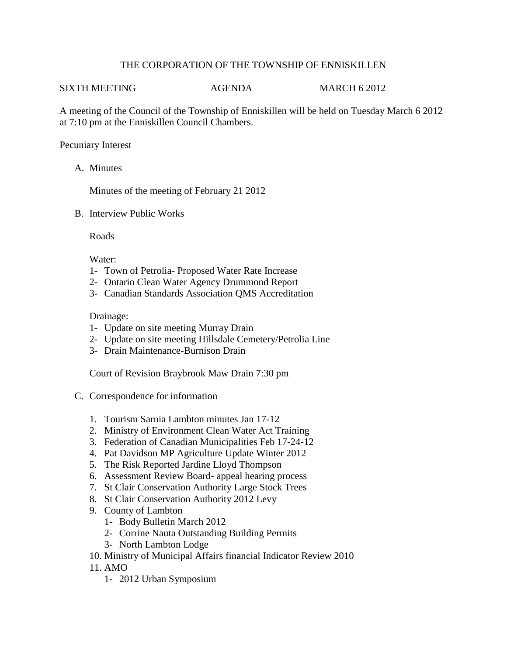## THE CORPORATION OF THE TOWNSHIP OF ENNISKILLEN

## SIXTH MEETING  $AGENDA$  MARCH 6 2012

A meeting of the Council of the Township of Enniskillen will be held on Tuesday March 6 2012 at 7:10 pm at the Enniskillen Council Chambers.

## Pecuniary Interest

A. Minutes

Minutes of the meeting of February 21 2012

B. Interview Public Works

Roads

Water:

- 1- Town of Petrolia- Proposed Water Rate Increase
- 2- Ontario Clean Water Agency Drummond Report
- 3- Canadian Standards Association QMS Accreditation

## Drainage:

- 1- Update on site meeting Murray Drain
- 2- Update on site meeting Hillsdale Cemetery/Petrolia Line
- 3- Drain Maintenance-Burnison Drain

Court of Revision Braybrook Maw Drain 7:30 pm

- C. Correspondence for information
	- 1. Tourism Sarnia Lambton minutes Jan 17-12
	- 2. Ministry of Environment Clean Water Act Training
	- 3. Federation of Canadian Municipalities Feb 17-24-12
	- 4. Pat Davidson MP Agriculture Update Winter 2012
	- 5. The Risk Reported Jardine Lloyd Thompson
	- 6. Assessment Review Board- appeal hearing process
	- 7. St Clair Conservation Authority Large Stock Trees
	- 8. St Clair Conservation Authority 2012 Levy
	- 9. County of Lambton
		- 1- Body Bulletin March 2012
		- 2- Corrine Nauta Outstanding Building Permits
		- 3- North Lambton Lodge
	- 10. Ministry of Municipal Affairs financial Indicator Review 2010
	- 11. AMO
		- 1- 2012 Urban Symposium